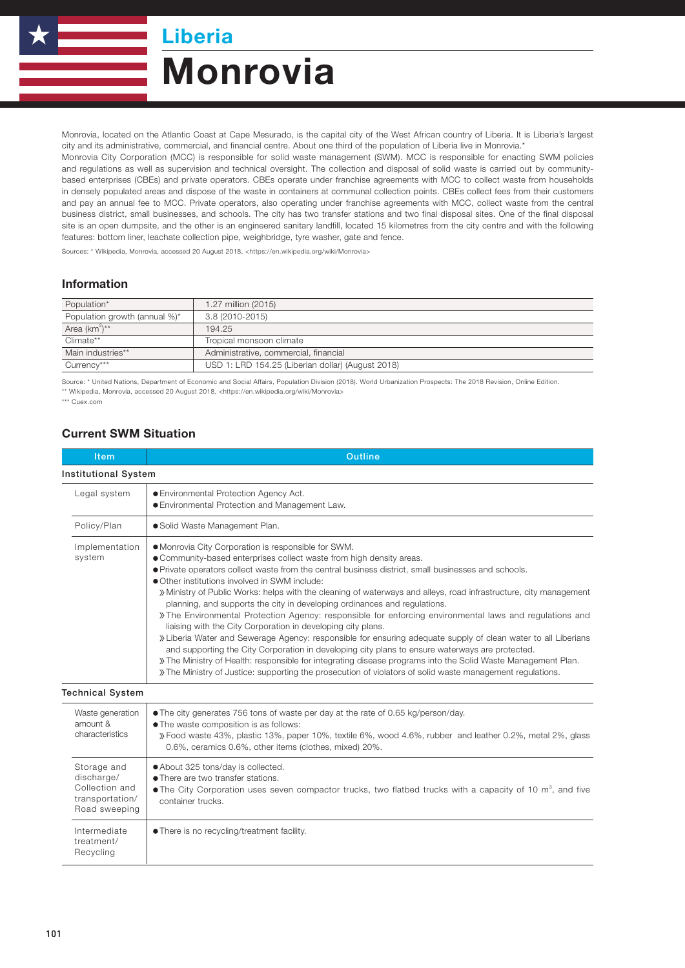Liberia

# Monrovia

Monrovia, located on the Atlantic Coast at Cape Mesurado, is the capital city of the West African country of Liberia. It is Liberia's largest city and its administrative, commercial, and financial centre. About one third of the population of Liberia live in Monrovia.\*

Monrovia City Corporation (MCC) is responsible for solid waste management (SWM). MCC is responsible for enacting SWM policies and regulations as well as supervision and technical oversight. The collection and disposal of solid waste is carried out by communitybased enterprises (CBEs) and private operators. CBEs operate under franchise agreements with MCC to collect waste from households in densely populated areas and dispose of the waste in containers at communal collection points. CBEs collect fees from their customers and pay an annual fee to MCC. Private operators, also operating under franchise agreements with MCC, collect waste from the central business district, small businesses, and schools. The city has two transfer stations and two final disposal sites. One of the final disposal site is an open dumpsite, and the other is an engineered sanitary landfill, located 15 kilometres from the city centre and with the following features: bottom liner, leachate collection pipe, weighbridge, tyre washer, gate and fence.

Sources: \* Wikipedia, Monrovia, accessed 20 August 2018, <https://en.wikipedia.org/wiki/Monrovia>

#### Information

| Population*                   | 1.27 million (2015)                               |  |
|-------------------------------|---------------------------------------------------|--|
| Population growth (annual %)* | 3.8 (2010-2015)                                   |  |
| Area (km <sup>2</sup> )**     | 194.25                                            |  |
| Climate**                     | Tropical monsoon climate                          |  |
| Main industries**             | Administrative, commercial, financial             |  |
| Currency***                   | USD 1: LRD 154.25 (Liberian dollar) (August 2018) |  |

Source: \* United Nations, Department of Economic and Social Affairs, Population Division (2018). World Urbanization Prospects: The 2018 Revision, Online Edition. \*\* Wikipedia, Monrovia, accessed 20 August 2018, <https://en.wikipedia.org/wiki/Monrovia>

\*\*\* Cuex.com

### Current SWM Situation

| <b>Item</b>                                                                     | <b>Outline</b>                                                                                                                                                                                                                                                                                                                                                                                                                                                                                                                                                                                                                                                                                                                                                                                                                                                                                                                                                                                                                                                                                                    |  |
|---------------------------------------------------------------------------------|-------------------------------------------------------------------------------------------------------------------------------------------------------------------------------------------------------------------------------------------------------------------------------------------------------------------------------------------------------------------------------------------------------------------------------------------------------------------------------------------------------------------------------------------------------------------------------------------------------------------------------------------------------------------------------------------------------------------------------------------------------------------------------------------------------------------------------------------------------------------------------------------------------------------------------------------------------------------------------------------------------------------------------------------------------------------------------------------------------------------|--|
| <b>Institutional System</b>                                                     |                                                                                                                                                                                                                                                                                                                                                                                                                                                                                                                                                                                                                                                                                                                                                                                                                                                                                                                                                                                                                                                                                                                   |  |
| Legal system                                                                    | <b>• Environmental Protection Agency Act.</b><br><b>• Environmental Protection and Management Law.</b>                                                                                                                                                                                                                                                                                                                                                                                                                                                                                                                                                                                                                                                                                                                                                                                                                                                                                                                                                                                                            |  |
| Policy/Plan                                                                     | · Solid Waste Management Plan.                                                                                                                                                                                                                                                                                                                                                                                                                                                                                                                                                                                                                                                                                                                                                                                                                                                                                                                                                                                                                                                                                    |  |
| Implementation<br>system                                                        | • Monrovia City Corporation is responsible for SWM.<br>· Community-based enterprises collect waste from high density areas.<br>• Private operators collect waste from the central business district, small businesses and schools.<br>• Other institutions involved in SWM include:<br>» Ministry of Public Works: helps with the cleaning of waterways and alleys, road infrastructure, city management<br>planning, and supports the city in developing ordinances and regulations.<br>» The Environmental Protection Agency: responsible for enforcing environmental laws and regulations and<br>liaising with the City Corporation in developing city plans.<br>» Liberia Water and Sewerage Agency: responsible for ensuring adequate supply of clean water to all Liberians<br>and supporting the City Corporation in developing city plans to ensure waterways are protected.<br>» The Ministry of Health: responsible for integrating disease programs into the Solid Waste Management Plan.<br>» The Ministry of Justice: supporting the prosecution of violators of solid waste management regulations. |  |
| <b>Technical System</b>                                                         |                                                                                                                                                                                                                                                                                                                                                                                                                                                                                                                                                                                                                                                                                                                                                                                                                                                                                                                                                                                                                                                                                                                   |  |
| Waste generation<br>amount &<br>characteristics                                 | • The city generates 756 tons of waste per day at the rate of 0.65 kg/person/day.<br>. The waste composition is as follows:<br>» Food waste 43%, plastic 13%, paper 10%, textile 6%, wood 4.6%, rubber and leather 0.2%, metal 2%, glass<br>0.6%, ceramics 0.6%, other items (clothes, mixed) 20%.                                                                                                                                                                                                                                                                                                                                                                                                                                                                                                                                                                                                                                                                                                                                                                                                                |  |
| Storage and<br>discharge/<br>Collection and<br>transportation/<br>Road sweeping | • About 325 tons/day is collected.<br>• There are two transfer stations.<br>• The City Corporation uses seven compactor trucks, two flatbed trucks with a capacity of 10 $\text{m}^3$ , and five<br>container trucks.                                                                                                                                                                                                                                                                                                                                                                                                                                                                                                                                                                                                                                                                                                                                                                                                                                                                                             |  |
| Intermediate<br>treatment/<br>Recvcling                                         | • There is no recycling/treatment facility.                                                                                                                                                                                                                                                                                                                                                                                                                                                                                                                                                                                                                                                                                                                                                                                                                                                                                                                                                                                                                                                                       |  |